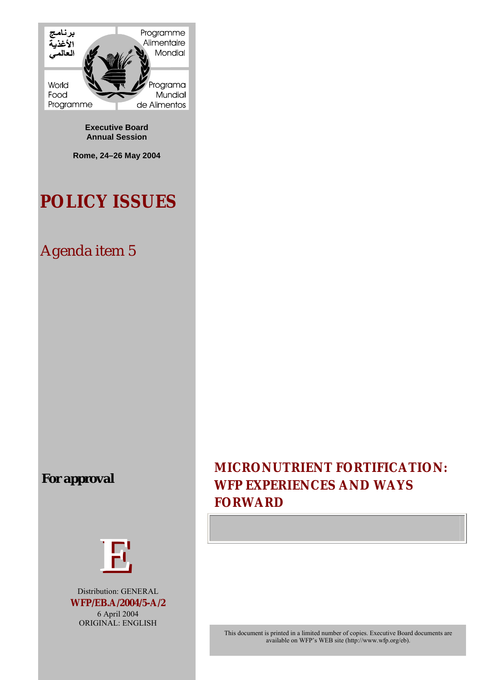

**Executive Board Annual Session** 

**Rome, 24–26 May 2004** 

# **POLICY ISSUES**

# Agenda item 5

# *For approval*



Distribution: GENERAL **WFP/EB.A/2004/5-A/2**  6 April 2004 ORIGINAL: ENGLISH

# **MICRONUTRIENT FORTIFICATION: WFP EXPERIENCES AND WAYS FORWARD**

This document is printed in a limited number of copies. Executive Board documents are available on WFP's WEB site (http://www.wfp.org/eb).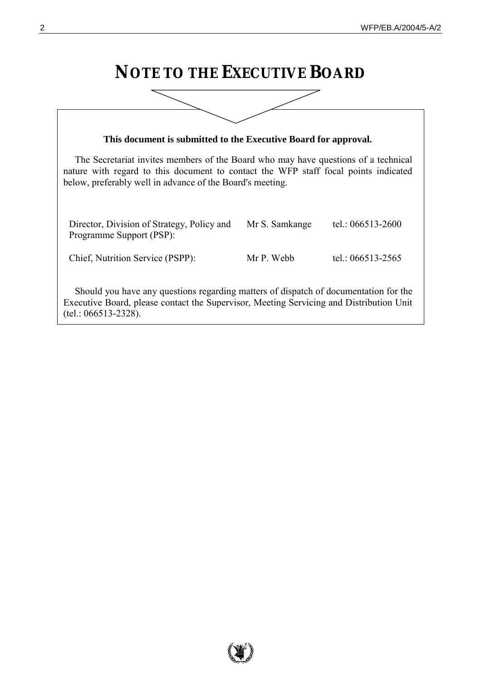# **NOTE TO THE EXECUTIVE BOARD**

| This document is submitted to the Executive Board for approval.                                                                                                                                                                        |                |                       |
|----------------------------------------------------------------------------------------------------------------------------------------------------------------------------------------------------------------------------------------|----------------|-----------------------|
| The Secretariat invites members of the Board who may have questions of a technical<br>nature with regard to this document to contact the WFP staff focal points indicated<br>below, preferably well in advance of the Board's meeting. |                |                       |
| Director, Division of Strategy, Policy and<br>Programme Support (PSP):                                                                                                                                                                 | Mr S. Samkange | tel.: 066513-2600     |
| Chief, Nutrition Service (PSPP):                                                                                                                                                                                                       | Mr P. Webb     | tel.: $066513 - 2565$ |
| Should you have any questions regarding matters of dispatch of documentation for the<br>Executive Board, please contact the Supervisor, Meeting Servicing and Distribution Unit<br>$(tel.: 066513-2328).$                              |                |                       |

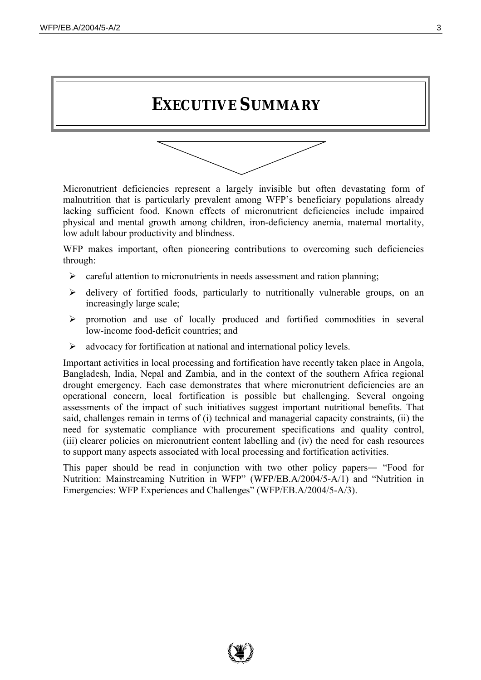# **EXECUTIVE SUMMARY**



Micronutrient deficiencies represent a largely invisible but often devastating form of malnutrition that is particularly prevalent among WFP's beneficiary populations already lacking sufficient food. Known effects of micronutrient deficiencies include impaired physical and mental growth among children, iron-deficiency anemia, maternal mortality, low adult labour productivity and blindness.

WFP makes important, often pioneering contributions to overcoming such deficiencies through:

- $\triangleright$  careful attention to micronutrients in needs assessment and ration planning;
- $\triangleright$  delivery of fortified foods, particularly to nutritionally vulnerable groups, on an increasingly large scale;
- ! promotion and use of locally produced and fortified commodities in several low-income food-deficit countries; and
- $\triangleright$  advocacy for fortification at national and international policy levels.

Important activities in local processing and fortification have recently taken place in Angola, Bangladesh, India, Nepal and Zambia, and in the context of the southern Africa regional drought emergency. Each case demonstrates that where micronutrient deficiencies are an operational concern, local fortification is possible but challenging. Several ongoing assessments of the impact of such initiatives suggest important nutritional benefits. That said, challenges remain in terms of (i) technical and managerial capacity constraints, (ii) the need for systematic compliance with procurement specifications and quality control, (iii) clearer policies on micronutrient content labelling and (iv) the need for cash resources to support many aspects associated with local processing and fortification activities.

This paper should be read in conjunction with two other policy papers— "Food for Nutrition: Mainstreaming Nutrition in WFP" (WFP/EB.A/2004/5-A/1) and "Nutrition in Emergencies: WFP Experiences and Challenges" (WFP/EB.A/2004/5-A/3).

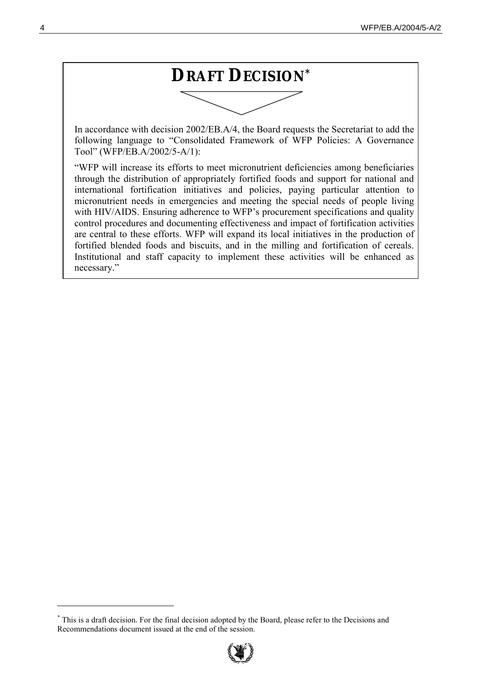

In accordance with decision 2002/EB.A/4, the Board requests the Secretariat to add the following language to "Consolidated Framework of WFP Policies: A Governance Toolî (WFP/EB.A/2002/5-A/1):

ìWFP will increase its efforts to meet micronutrient deficiencies among beneficiaries through the distribution of appropriately fortified foods and support for national and international fortification initiatives and policies, paying particular attention to micronutrient needs in emergencies and meeting the special needs of people living with HIV/AIDS. Ensuring adherence to WFP's procurement specifications and quality control procedures and documenting effectiveness and impact of fortification activities are central to these efforts. WFP will expand its local initiatives in the production of fortified blended foods and biscuits, and in the milling and fortification of cereals. Institutional and staff capacity to implement these activities will be enhanced as necessary."

<sup>\*</sup> This is a draft decision. For the final decision adopted by the Board, please refer to the Decisions and Recommendations document issued at the end of the session.

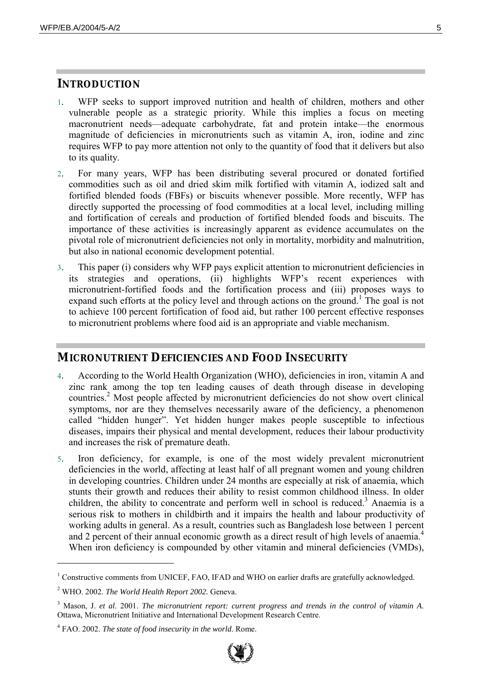### **INTRODUCTION**

- 1. WFP seeks to support improved nutrition and health of children, mothers and other vulnerable people as a strategic priority. While this implies a focus on meeting macronutrient needs—adequate carbohydrate, fat and protein intake—the enormous magnitude of deficiencies in micronutrients such as vitamin A, iron, iodine and zinc requires WFP to pay more attention not only to the quantity of food that it delivers but also to its quality.
- 2. For many years, WFP has been distributing several procured or donated fortified commodities such as oil and dried skim milk fortified with vitamin A, iodized salt and fortified blended foods (FBFs) or biscuits whenever possible. More recently, WFP has directly supported the processing of food commodities at a local level, including milling and fortification of cereals and production of fortified blended foods and biscuits. The importance of these activities is increasingly apparent as evidence accumulates on the pivotal role of micronutrient deficiencies not only in mortality, morbidity and malnutrition, but also in national economic development potential.
- 3. This paper (i) considers why WFP pays explicit attention to micronutrient deficiencies in its strategies and operations, (ii) highlights WFP's recent experiences with micronutrient-fortified foods and the fortification process and (iii) proposes ways to expand such efforts at the policy level and through actions on the ground.<sup>1</sup> The goal is not to achieve 100 percent fortification of food aid, but rather 100 percent effective responses to micronutrient problems where food aid is an appropriate and viable mechanism.

## **MICRONUTRIENT DEFICIENCIES AND FOOD INSECURITY**

- 4. According to the World Health Organization (WHO), deficiencies in iron, vitamin A and zinc rank among the top ten leading causes of death through disease in developing countries.<sup>2</sup> Most people affected by micronutrient deficiencies do not show overt clinical symptoms, nor are they themselves necessarily aware of the deficiency, a phenomenon called "hidden hunger". Yet hidden hunger makes people susceptible to infectious diseases, impairs their physical and mental development, reduces their labour productivity and increases the risk of premature death.
- 5. Iron deficiency, for example, is one of the most widely prevalent micronutrient deficiencies in the world, affecting at least half of all pregnant women and young children in developing countries. Children under 24 months are especially at risk of anaemia, which stunts their growth and reduces their ability to resist common childhood illness. In older children, the ability to concentrate and perform well in school is reduced.<sup>3</sup> Anaemia is a serious risk to mothers in childbirth and it impairs the health and labour productivity of working adults in general. As a result, countries such as Bangladesh lose between 1 percent and 2 percent of their annual economic growth as a direct result of high levels of anaemia.<sup>4</sup> When iron deficiency is compounded by other vitamin and mineral deficiencies (VMDs),

<sup>&</sup>lt;sup>1</sup> Constructive comments from UNICEF, FAO, IFAD and WHO on earlier drafts are gratefully acknowledged.

<sup>2</sup> WHO. 2002. *The World Health Report 2002.* Geneva.

<sup>3</sup> Mason, J. *et al*. 2001. *The micronutrient report: current progress and trends in the control of vitamin A*. Ottawa, Micronutrient Initiative and International Development Research Centre.

<sup>4</sup> FAO. 2002. *The state of food insecurity in the world*. Rome.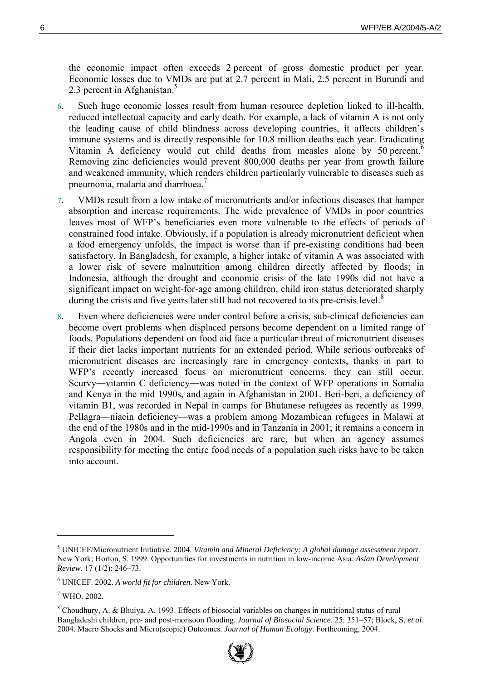the economic impact often exceeds 2 percent of gross domestic product per year. Economic losses due to VMDs are put at 2.7 percent in Mali, 2.5 percent in Burundi and 2.3 percent in Afghanistan. $5$ 

- 6. Such huge economic losses result from human resource depletion linked to ill-health, reduced intellectual capacity and early death. For example, a lack of vitamin A is not only the leading cause of child blindness across developing countries, it affects children's immune systems and is directly responsible for 10.8 million deaths each year. Eradicating Vitamin A deficiency would cut child deaths from measles alone by 50 percent.<sup>6</sup> Removing zinc deficiencies would prevent 800,000 deaths per year from growth failure and weakened immunity, which renders children particularly vulnerable to diseases such as pneumonia, malaria and diarrhoea.<sup>7</sup>
- 7. VMDs result from a low intake of micronutrients and/or infectious diseases that hamper absorption and increase requirements. The wide prevalence of VMDs in poor countries leaves most of WFP's beneficiaries even more vulnerable to the effects of periods of constrained food intake. Obviously, if a population is already micronutrient deficient when a food emergency unfolds, the impact is worse than if pre-existing conditions had been satisfactory. In Bangladesh, for example, a higher intake of vitamin A was associated with a lower risk of severe malnutrition among children directly affected by floods; in Indonesia, although the drought and economic crisis of the late 1990s did not have a significant impact on weight-for-age among children, child iron status deteriorated sharply during the crisis and five years later still had not recovered to its pre-crisis level.<sup>8</sup>
- 8. Even where deficiencies were under control before a crisis, sub-clinical deficiencies can become overt problems when displaced persons become dependent on a limited range of foods. Populations dependent on food aid face a particular threat of micronutrient diseases if their diet lacks important nutrients for an extended period. While serious outbreaks of micronutrient diseases are increasingly rare in emergency contexts, thanks in part to WFP's recently increased focus on micronutrient concerns, they can still occur. Scurvy―vitamin C deficiency―was noted in the context of WFP operations in Somalia and Kenya in the mid 1990s, and again in Afghanistan in 2001. Beri-beri, a deficiency of vitamin B1, was recorded in Nepal in camps for Bhutanese refugees as recently as 1999. Pellagra—niacin deficiency—was a problem among Mozambican refugees in Malawi at the end of the 1980s and in the mid-1990s and in Tanzania in 2001; it remains a concern in Angola even in 2004. Such deficiencies are rare, but when an agency assumes responsibility for meeting the entire food needs of a population such risks have to be taken into account.

<sup>&</sup>lt;sup>8</sup> Choudhury, A. & Bhuiya, A. 1993. Effects of biosocial variables on changes in nutritional status of rural Bangladeshi children, pre- and post-monsoon flooding. *Journal of Biosocial Science*. 25: 351–57; Block, S. *et al.* 2004. Macro Shocks and Micro(scopic) Outcomes. *Journal of Human Ecology*. Forthcoming, 2004.



<sup>5</sup> UNICEF/Micronutrient Initiative. 2004. *Vitamin and Mineral Deficiency: A global damage assessment report*. New York; Horton, S. 1999. Opportunities for investments in nutrition in low-income Asia. *Asian Development Review.* 17 (1/2): 246-73.

<sup>6</sup> UNICEF. 2002. *A world fit for children*. New York.

<sup>7</sup> WHO. 2002*.*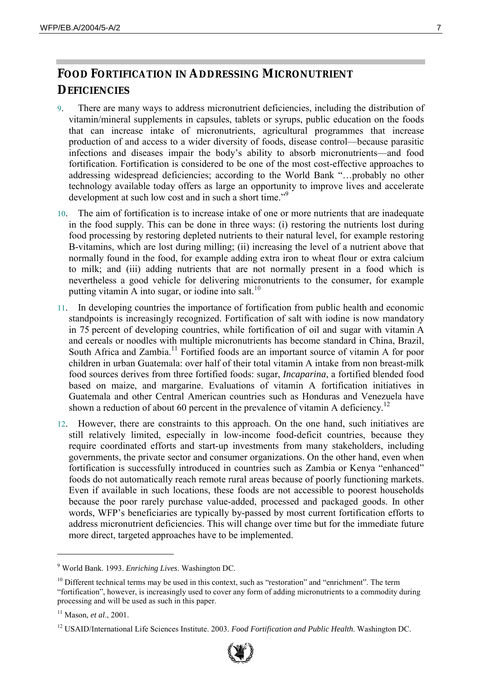## **FOOD FORTIFICATION IN ADDRESSING MICRONUTRIENT DEFICIENCIES**

- 9. There are many ways to address micronutrient deficiencies, including the distribution of vitamin/mineral supplements in capsules, tablets or syrups, public education on the foods that can increase intake of micronutrients, agricultural programmes that increase production of and access to a wider diversity of foods, disease control—because parasitic infections and diseases impair the body's ability to absorb micronutrients—and food fortification. Fortification is considered to be one of the most cost-effective approaches to addressing widespread deficiencies; according to the World Bank "...probably no other technology available today offers as large an opportunity to improve lives and accelerate development at such low cost and in such a short time.<sup> $\frac{9}{2}$ </sup>
- 10. The aim of fortification is to increase intake of one or more nutrients that are inadequate in the food supply. This can be done in three ways: (i) restoring the nutrients lost during food processing by restoring depleted nutrients to their natural level, for example restoring B-vitamins, which are lost during milling; (ii) increasing the level of a nutrient above that normally found in the food, for example adding extra iron to wheat flour or extra calcium to milk; and (iii) adding nutrients that are not normally present in a food which is nevertheless a good vehicle for delivering micronutrients to the consumer, for example putting vitamin A into sugar, or iodine into salt. $10$
- 11. In developing countries the importance of fortification from public health and economic standpoints is increasingly recognized. Fortification of salt with iodine is now mandatory in 75 percent of developing countries, while fortification of oil and sugar with vitamin A and cereals or noodles with multiple micronutrients has become standard in China, Brazil, South Africa and Zambia.<sup>11</sup> Fortified foods are an important source of vitamin A for poor children in urban Guatemala: over half of their total vitamin A intake from non breast-milk food sources derives from three fortified foods: sugar, *Incaparina*, a fortified blended food based on maize, and margarine. Evaluations of vitamin A fortification initiatives in Guatemala and other Central American countries such as Honduras and Venezuela have shown a reduction of about 60 percent in the prevalence of vitamin A deficiency.<sup>12</sup>
- 12. However, there are constraints to this approach. On the one hand, such initiatives are still relatively limited, especially in low-income food-deficit countries, because they require coordinated efforts and start-up investments from many stakeholders, including governments, the private sector and consumer organizations. On the other hand, even when fortification is successfully introduced in countries such as Zambia or Kenya "enhanced" foods do not automatically reach remote rural areas because of poorly functioning markets. Even if available in such locations, these foods are not accessible to poorest households because the poor rarely purchase value-added, processed and packaged goods. In other words, WFP's beneficiaries are typically by-passed by most current fortification efforts to address micronutrient deficiencies. This will change over time but for the immediate future more direct, targeted approaches have to be implemented.

<sup>12</sup> USAID/International Life Sciences Institute. 2003. *Food Fortification and Public Health*. Washington DC.



<sup>9</sup> World Bank. 1993. *Enriching Lives*. Washington DC.

 $10$  Different technical terms may be used in this context, such as "restoration" and "enrichment". The term ìfortificationî, however, is increasingly used to cover any form of adding micronutrients to a commodity during processing and will be used as such in this paper.

<sup>11</sup> Mason, *et al*., 2001.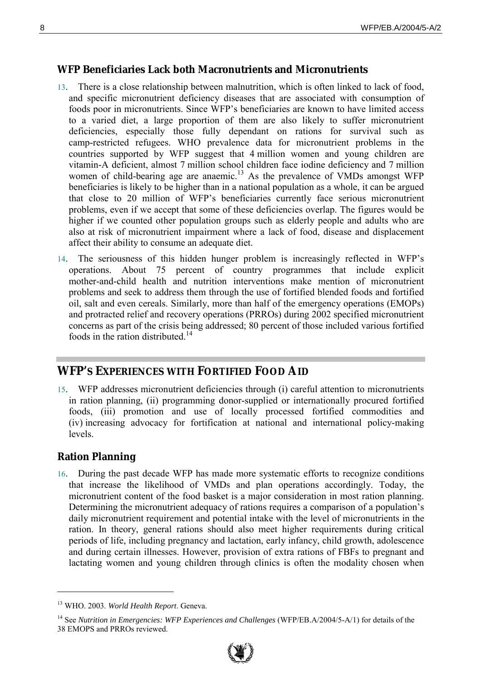#### **WFP Beneficiaries Lack both Macronutrients and Micronutrients**

- 13. There is a close relationship between malnutrition, which is often linked to lack of food, and specific micronutrient deficiency diseases that are associated with consumption of foods poor in micronutrients. Since WFP's beneficiaries are known to have limited access to a varied diet, a large proportion of them are also likely to suffer micronutrient deficiencies, especially those fully dependant on rations for survival such as camp-restricted refugees. WHO prevalence data for micronutrient problems in the countries supported by WFP suggest that 4 million women and young children are vitamin-A deficient, almost 7 million school children face iodine deficiency and 7 million women of child-bearing age are anaemic.<sup>13</sup> As the prevalence of VMDs amongst WFP beneficiaries is likely to be higher than in a national population as a whole, it can be argued that close to 20 million of WFP's beneficiaries currently face serious micronutrient problems, even if we accept that some of these deficiencies overlap. The figures would be higher if we counted other population groups such as elderly people and adults who are also at risk of micronutrient impairment where a lack of food, disease and displacement affect their ability to consume an adequate diet.
- 14. The seriousness of this hidden hunger problem is increasingly reflected in WFP's operations. About 75 percent of country programmes that include explicit mother-and-child health and nutrition interventions make mention of micronutrient problems and seek to address them through the use of fortified blended foods and fortified oil, salt and even cereals. Similarly, more than half of the emergency operations (EMOPs) and protracted relief and recovery operations (PRROs) during 2002 specified micronutrient concerns as part of the crisis being addressed; 80 percent of those included various fortified foods in the ration distributed<sup>14</sup>

## **WFP'S EXPERIENCES WITH FORTIFIED FOOD AID**

15. WFP addresses micronutrient deficiencies through (i) careful attention to micronutrients in ration planning, (ii) programming donor-supplied or internationally procured fortified foods, (iii) promotion and use of locally processed fortified commodities and (iv) increasing advocacy for fortification at national and international policy-making levels.

#### **Ration Planning**

 $\overline{a}$ 

16. During the past decade WFP has made more systematic efforts to recognize conditions that increase the likelihood of VMDs and plan operations accordingly. Today, the micronutrient content of the food basket is a major consideration in most ration planning. Determining the micronutrient adequacy of rations requires a comparison of a population's daily micronutrient requirement and potential intake with the level of micronutrients in the ration. In theory, general rations should also meet higher requirements during critical periods of life, including pregnancy and lactation, early infancy, child growth, adolescence and during certain illnesses. However, provision of extra rations of FBFs to pregnant and lactating women and young children through clinics is often the modality chosen when

<sup>14</sup> See *Nutrition in Emergencies: WFP Experiences and Challenges* (WFP/EB.A/2004/5-A/1) for details of the 38 EMOPS and PRROs reviewed.



<sup>13</sup> WHO. 2003. *World Health Report*. Geneva.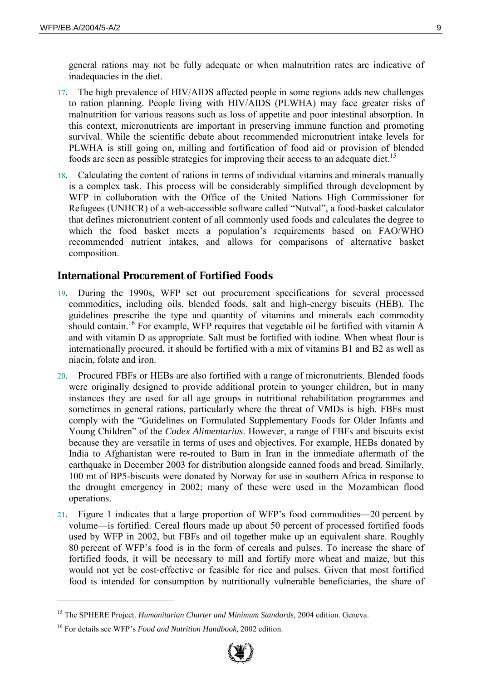general rations may not be fully adequate or when malnutrition rates are indicative of inadequacies in the diet.

- 17. The high prevalence of HIV/AIDS affected people in some regions adds new challenges to ration planning. People living with HIV/AIDS (PLWHA) may face greater risks of malnutrition for various reasons such as loss of appetite and poor intestinal absorption. In this context, micronutrients are important in preserving immune function and promoting survival. While the scientific debate about recommended micronutrient intake levels for PLWHA is still going on, milling and fortification of food aid or provision of blended foods are seen as possible strategies for improving their access to an adequate diet.<sup>15</sup>
- 18. Calculating the content of rations in terms of individual vitamins and minerals manually is a complex task. This process will be considerably simplified through development by WFP in collaboration with the Office of the United Nations High Commissioner for Refugees (UNHCR) of a web-accessible software called "Nutval", a food-basket calculator that defines micronutrient content of all commonly used foods and calculates the degree to which the food basket meets a population's requirements based on FAO/WHO recommended nutrient intakes, and allows for comparisons of alternative basket composition.

#### **International Procurement of Fortified Foods**

- 19. During the 1990s, WFP set out procurement specifications for several processed commodities, including oils, blended foods, salt and high-energy biscuits (HEB). The guidelines prescribe the type and quantity of vitamins and minerals each commodity should contain.<sup>16</sup> For example, WFP requires that vegetable oil be fortified with vitamin A and with vitamin D as appropriate. Salt must be fortified with iodine. When wheat flour is internationally procured, it should be fortified with a mix of vitamins B1 and B2 as well as niacin, folate and iron.
- 20. Procured FBFs or HEBs are also fortified with a range of micronutrients. Blended foods were originally designed to provide additional protein to younger children, but in many instances they are used for all age groups in nutritional rehabilitation programmes and sometimes in general rations, particularly where the threat of VMDs is high. FBFs must comply with the "Guidelines on Formulated Supplementary Foods for Older Infants and Young Childrenî of the *Codex Alimentarius*. However, a range of FBFs and biscuits exist because they are versatile in terms of uses and objectives. For example, HEBs donated by India to Afghanistan were re-routed to Bam in Iran in the immediate aftermath of the earthquake in December 2003 for distribution alongside canned foods and bread. Similarly, 100 mt of BP5-biscuits were donated by Norway for use in southern Africa in response to the drought emergency in 2002; many of these were used in the Mozambican flood operations.
- 21. Figure 1 indicates that a large proportion of WFP's food commodities—20 percent by volume—is fortified. Cereal flours made up about 50 percent of processed fortified foods used by WFP in 2002, but FBFs and oil together make up an equivalent share. Roughly 80 percent of WFP's food is in the form of cereals and pulses. To increase the share of fortified foods, it will be necessary to mill and fortify more wheat and maize, but this would not yet be cost-effective or feasible for rice and pulses. Given that most fortified food is intended for consumption by nutritionally vulnerable beneficiaries, the share of



<sup>&</sup>lt;sup>15</sup> The SPHERE Project. *Humanitarian Charter and Minimum Standards*, 2004 edition. Geneva.

<sup>&</sup>lt;sup>16</sup> For details see WFP's *Food and Nutrition Handbook*, 2002 edition.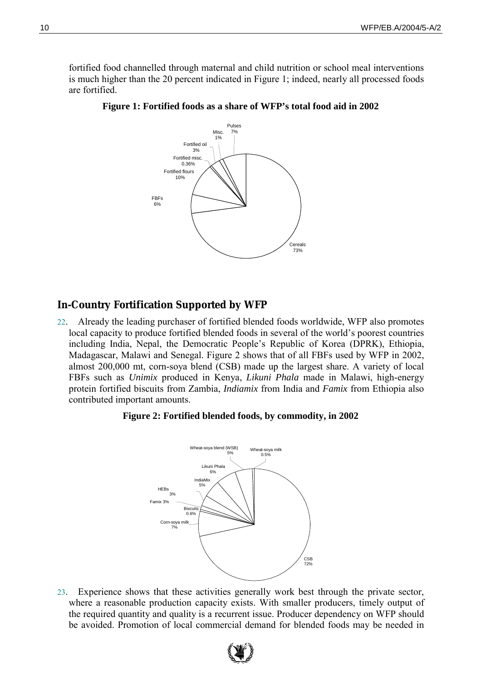fortified food channelled through maternal and child nutrition or school meal interventions is much higher than the 20 percent indicated in Figure 1; indeed, nearly all processed foods are fortified.



**Figure 1: Fortified foods as a share of WFP's total food aid in 2002** 

#### **In-Country Fortification Supported by WFP**

22. Already the leading purchaser of fortified blended foods worldwide, WFP also promotes local capacity to produce fortified blended foods in several of the world's poorest countries including India, Nepal, the Democratic People's Republic of Korea (DPRK), Ethiopia, Madagascar, Malawi and Senegal. Figure 2 shows that of all FBFs used by WFP in 2002, almost 200,000 mt, corn-soya blend (CSB) made up the largest share. A variety of local FBFs such as *Unimix* produced in Kenya, *Likuni Phala* made in Malawi, high-energy protein fortified biscuits from Zambia, *Indiamix* from India and *Famix* from Ethiopia also contributed important amounts.

#### **Figure 2: Fortified blended foods, by commodity, in 2002**



23. Experience shows that these activities generally work best through the private sector, where a reasonable production capacity exists. With smaller producers, timely output of the required quantity and quality is a recurrent issue. Producer dependency on WFP should be avoided. Promotion of local commercial demand for blended foods may be needed in

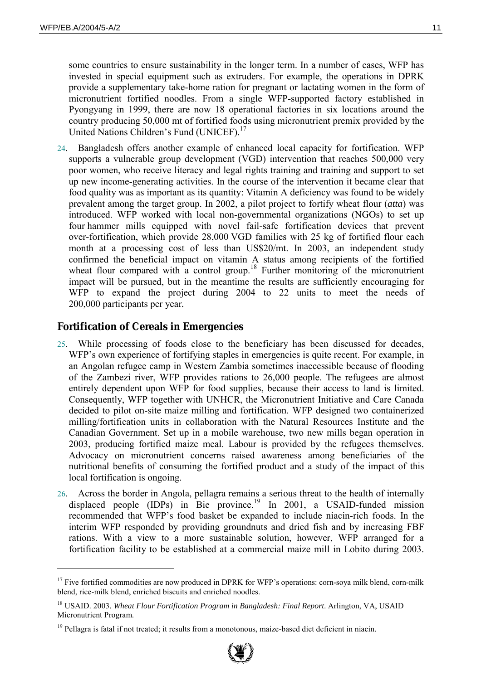$\overline{a}$ 

some countries to ensure sustainability in the longer term. In a number of cases, WFP has invested in special equipment such as extruders. For example, the operations in DPRK provide a supplementary take-home ration for pregnant or lactating women in the form of micronutrient fortified noodles. From a single WFP-supported factory established in Pyongyang in 1999, there are now 18 operational factories in six locations around the country producing 50,000 mt of fortified foods using micronutrient premix provided by the United Nations Children's Fund (UNICEF).<sup>17</sup>

24. Bangladesh offers another example of enhanced local capacity for fortification. WFP supports a vulnerable group development (VGD) intervention that reaches 500,000 very poor women, who receive literacy and legal rights training and training and support to set up new income-generating activities. In the course of the intervention it became clear that food quality was as important as its quantity: Vitamin A deficiency was found to be widely prevalent among the target group. In 2002, a pilot project to fortify wheat flour (*atta*) was introduced. WFP worked with local non-governmental organizations (NGOs) to set up four hammer mills equipped with novel fail-safe fortification devices that prevent over-fortification, which provide 28,000 VGD families with 25 kg of fortified flour each month at a processing cost of less than US\$20/mt. In 2003, an independent study confirmed the beneficial impact on vitamin A status among recipients of the fortified wheat flour compared with a control group.<sup>18</sup> Further monitoring of the micronutrient impact will be pursued, but in the meantime the results are sufficiently encouraging for WFP to expand the project during 2004 to 22 units to meet the needs of 200,000 participants per year*.* 

## **Fortification of Cereals in Emergencies**

- 25. While processing of foods close to the beneficiary has been discussed for decades, WFP's own experience of fortifying staples in emergencies is quite recent. For example, in an Angolan refugee camp in Western Zambia sometimes inaccessible because of flooding of the Zambezi river, WFP provides rations to 26,000 people. The refugees are almost entirely dependent upon WFP for food supplies, because their access to land is limited. Consequently, WFP together with UNHCR, the Micronutrient Initiative and Care Canada decided to pilot on-site maize milling and fortification. WFP designed two containerized milling/fortification units in collaboration with the Natural Resources Institute and the Canadian Government. Set up in a mobile warehouse, two new mills began operation in 2003, producing fortified maize meal. Labour is provided by the refugees themselves. Advocacy on micronutrient concerns raised awareness among beneficiaries of the nutritional benefits of consuming the fortified product and a study of the impact of this local fortification is ongoing.
- 26. Across the border in Angola, pellagra remains a serious threat to the health of internally displaced people (IDPs) in Bie province.19 In 2001, a USAID-funded mission recommended that WFP's food basket be expanded to include niacin-rich foods. In the interim WFP responded by providing groundnuts and dried fish and by increasing FBF rations. With a view to a more sustainable solution, however, WFP arranged for a fortification facility to be established at a commercial maize mill in Lobito during 2003.



 $17$  Five fortified commodities are now produced in DPRK for WFP's operations: corn-soya milk blend, corn-milk blend, rice-milk blend, enriched biscuits and enriched noodles.

<sup>18</sup> USAID. 2003. *Wheat Flour Fortification Program in Bangladesh: Final Report*. Arlington, VA, USAID Micronutrient Program.

<sup>&</sup>lt;sup>19</sup> Pellagra is fatal if not treated; it results from a monotonous, maize-based diet deficient in niacin.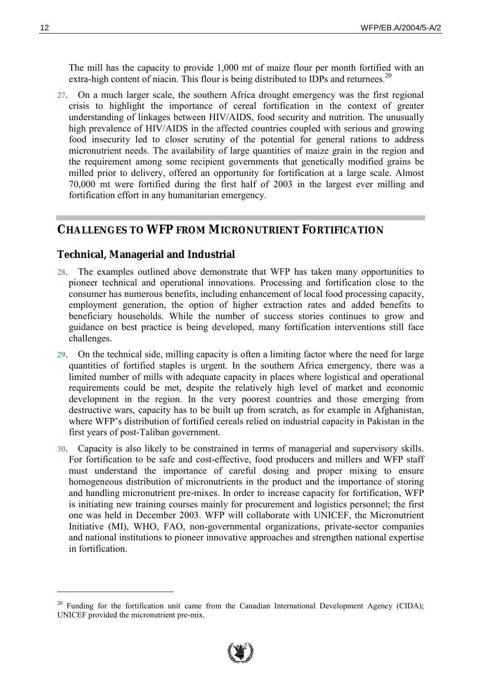The mill has the capacity to provide 1,000 mt of maize flour per month fortified with an extra-high content of niacin. This flour is being distributed to IDPs and returnees.<sup>20</sup>

27. On a much larger scale, the southern Africa drought emergency was the first regional crisis to highlight the importance of cereal fortification in the context of greater understanding of linkages between HIV/AIDS, food security and nutrition. The unusually high prevalence of HIV/AIDS in the affected countries coupled with serious and growing food insecurity led to closer scrutiny of the potential for general rations to address micronutrient needs. The availability of large quantities of maize grain in the region and the requirement among some recipient governments that genetically modified grains be milled prior to delivery, offered an opportunity for fortification at a large scale. Almost 70,000 mt were fortified during the first half of 2003 in the largest ever milling and fortification effort in any humanitarian emergency.

#### **CHALLENGES TO WFP FROM MICRONUTRIENT FORTIFICATION**

#### **Technical, Managerial and Industrial**

- 28. The examples outlined above demonstrate that WFP has taken many opportunities to pioneer technical and operational innovations. Processing and fortification close to the consumer has numerous benefits, including enhancement of local food processing capacity, employment generation, the option of higher extraction rates and added benefits to beneficiary households. While the number of success stories continues to grow and guidance on best practice is being developed, many fortification interventions still face challenges.
- 29. On the technical side, milling capacity is often a limiting factor where the need for large quantities of fortified staples is urgent. In the southern Africa emergency, there was a limited number of mills with adequate capacity in places where logistical and operational requirements could be met, despite the relatively high level of market and economic development in the region. In the very poorest countries and those emerging from destructive wars, capacity has to be built up from scratch, as for example in Afghanistan, where WFP's distribution of fortified cereals relied on industrial capacity in Pakistan in the first years of post-Taliban government.
- 30. Capacity is also likely to be constrained in terms of managerial and supervisory skills. For fortification to be safe and cost-effective, food producers and millers and WFP staff must understand the importance of careful dosing and proper mixing to ensure homogeneous distribution of micronutrients in the product and the importance of storing and handling micronutrient pre-mixes. In order to increase capacity for fortification, WFP is initiating new training courses mainly for procurement and logistics personnel; the first one was held in December 2003. WFP will collaborate with UNICEF, the Micronutrient Initiative (MI), WHO, FAO, non-governmental organizations, private-sector companies and national institutions to pioneer innovative approaches and strengthen national expertise in fortification.



<sup>&</sup>lt;sup>20</sup> Funding for the fortification unit came from the Canadian International Development Agency (CIDA); UNICEF provided the micronutrient pre-mix.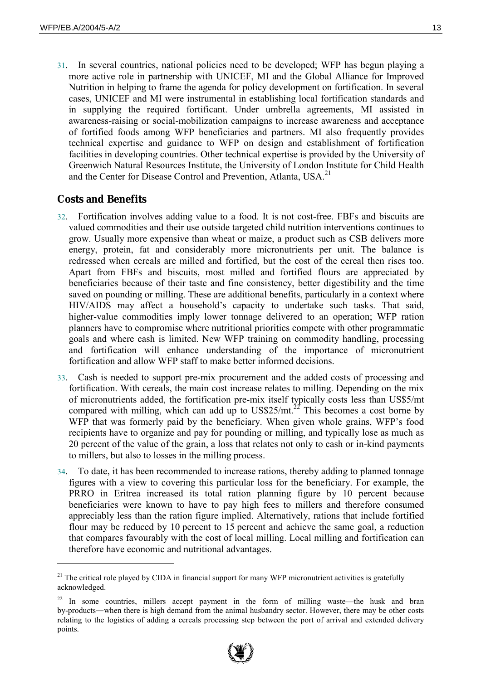31. In several countries, national policies need to be developed; WFP has begun playing a more active role in partnership with UNICEF, MI and the Global Alliance for Improved Nutrition in helping to frame the agenda for policy development on fortification. In several cases, UNICEF and MI were instrumental in establishing local fortification standards and in supplying the required fortificant. Under umbrella agreements, MI assisted in awareness-raising or social-mobilization campaigns to increase awareness and acceptance of fortified foods among WFP beneficiaries and partners. MI also frequently provides technical expertise and guidance to WFP on design and establishment of fortification facilities in developing countries. Other technical expertise is provided by the University of Greenwich Natural Resources Institute, the University of London Institute for Child Health and the Center for Disease Control and Prevention, Atlanta, USA.<sup>21</sup>

## **Costs and Benefits**

- 32. Fortification involves adding value to a food. It is not cost-free. FBFs and biscuits are valued commodities and their use outside targeted child nutrition interventions continues to grow. Usually more expensive than wheat or maize, a product such as CSB delivers more energy, protein, fat and considerably more micronutrients per unit. The balance is redressed when cereals are milled and fortified, but the cost of the cereal then rises too. Apart from FBFs and biscuits, most milled and fortified flours are appreciated by beneficiaries because of their taste and fine consistency, better digestibility and the time saved on pounding or milling. These are additional benefits, particularly in a context where HIV/AIDS may affect a household's capacity to undertake such tasks. That said, higher-value commodities imply lower tonnage delivered to an operation; WFP ration planners have to compromise where nutritional priorities compete with other programmatic goals and where cash is limited. New WFP training on commodity handling, processing and fortification will enhance understanding of the importance of micronutrient fortification and allow WFP staff to make better informed decisions.
- 33. Cash is needed to support pre-mix procurement and the added costs of processing and fortification. With cereals, the main cost increase relates to milling. Depending on the mix of micronutrients added, the fortification pre-mix itself typically costs less than US\$5/mt compared with milling, which can add up to US\$25/mt.<sup>22</sup> This becomes a cost borne by WFP that was formerly paid by the beneficiary. When given whole grains, WFP's food recipients have to organize and pay for pounding or milling, and typically lose as much as 20 percent of the value of the grain, a loss that relates not only to cash or in-kind payments to millers, but also to losses in the milling process.
- 34. To date, it has been recommended to increase rations, thereby adding to planned tonnage figures with a view to covering this particular loss for the beneficiary. For example, the PRRO in Eritrea increased its total ration planning figure by 10 percent because beneficiaries were known to have to pay high fees to millers and therefore consumed appreciably less than the ration figure implied. Alternatively, rations that include fortified flour may be reduced by 10 percent to 15 percent and achieve the same goal, a reduction that compares favourably with the cost of local milling. Local milling and fortification can therefore have economic and nutritional advantages.

 $22$  In some countries, millers accept payment in the form of milling waste—the husk and bran by-products―when there is high demand from the animal husbandry sector. However, there may be other costs relating to the logistics of adding a cereals processing step between the port of arrival and extended delivery points.



<sup>&</sup>lt;sup>21</sup> The critical role played by CIDA in financial support for many WFP micronutrient activities is gratefully acknowledged.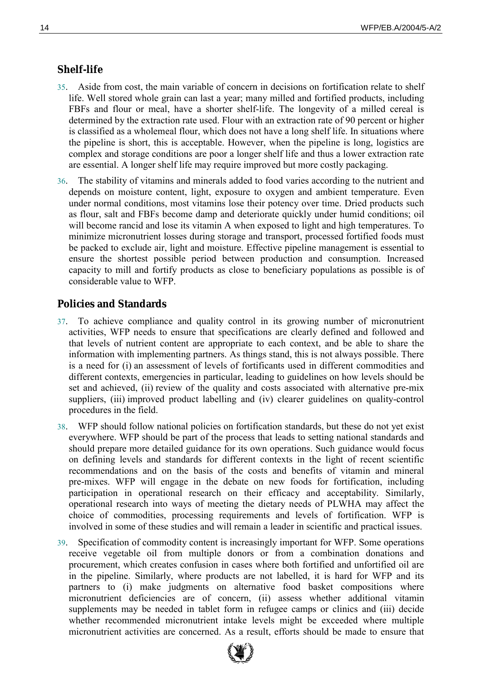### **Shelf-life**

- 35. Aside from cost, the main variable of concern in decisions on fortification relate to shelf life. Well stored whole grain can last a year; many milled and fortified products, including FBFs and flour or meal, have a shorter shelf-life. The longevity of a milled cereal is determined by the extraction rate used. Flour with an extraction rate of 90 percent or higher is classified as a wholemeal flour, which does not have a long shelf life. In situations where the pipeline is short, this is acceptable. However, when the pipeline is long, logistics are complex and storage conditions are poor a longer shelf life and thus a lower extraction rate are essential. A longer shelf life may require improved but more costly packaging.
- 36. The stability of vitamins and minerals added to food varies according to the nutrient and depends on moisture content, light, exposure to oxygen and ambient temperature. Even under normal conditions, most vitamins lose their potency over time. Dried products such as flour, salt and FBFs become damp and deteriorate quickly under humid conditions; oil will become rancid and lose its vitamin A when exposed to light and high temperatures. To minimize micronutrient losses during storage and transport, processed fortified foods must be packed to exclude air, light and moisture. Effective pipeline management is essential to ensure the shortest possible period between production and consumption. Increased capacity to mill and fortify products as close to beneficiary populations as possible is of considerable value to WFP.

#### **Policies and Standards**

- 37. To achieve compliance and quality control in its growing number of micronutrient activities, WFP needs to ensure that specifications are clearly defined and followed and that levels of nutrient content are appropriate to each context, and be able to share the information with implementing partners. As things stand, this is not always possible. There is a need for (i) an assessment of levels of fortificants used in different commodities and different contexts, emergencies in particular, leading to guidelines on how levels should be set and achieved, (ii) review of the quality and costs associated with alternative pre-mix suppliers, (iii) improved product labelling and (iv) clearer guidelines on quality-control procedures in the field.
- 38. WFP should follow national policies on fortification standards, but these do not yet exist everywhere. WFP should be part of the process that leads to setting national standards and should prepare more detailed guidance for its own operations. Such guidance would focus on defining levels and standards for different contexts in the light of recent scientific recommendations and on the basis of the costs and benefits of vitamin and mineral pre-mixes. WFP will engage in the debate on new foods for fortification, including participation in operational research on their efficacy and acceptability. Similarly, operational research into ways of meeting the dietary needs of PLWHA may affect the choice of commodities, processing requirements and levels of fortification. WFP is involved in some of these studies and will remain a leader in scientific and practical issues.
- 39. Specification of commodity content is increasingly important for WFP. Some operations receive vegetable oil from multiple donors or from a combination donations and procurement, which creates confusion in cases where both fortified and unfortified oil are in the pipeline. Similarly, where products are not labelled, it is hard for WFP and its partners to (i) make judgments on alternative food basket compositions where micronutrient deficiencies are of concern, (ii) assess whether additional vitamin supplements may be needed in tablet form in refugee camps or clinics and (iii) decide whether recommended micronutrient intake levels might be exceeded where multiple micronutrient activities are concerned. As a result, efforts should be made to ensure that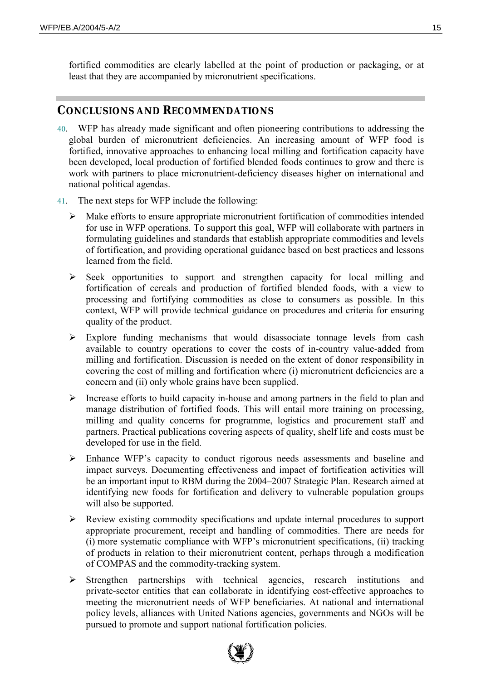fortified commodities are clearly labelled at the point of production or packaging, or at least that they are accompanied by micronutrient specifications.

### **CONCLUSIONS AND RECOMMENDATIONS**

- 40. WFP has already made significant and often pioneering contributions to addressing the global burden of micronutrient deficiencies. An increasing amount of WFP food is fortified, innovative approaches to enhancing local milling and fortification capacity have been developed, local production of fortified blended foods continues to grow and there is work with partners to place micronutrient-deficiency diseases higher on international and national political agendas.
- 41. The next steps for WFP include the following:
	- $\triangleright$  Make efforts to ensure appropriate micronutrient fortification of commodities intended for use in WFP operations. To support this goal, WFP will collaborate with partners in formulating guidelines and standards that establish appropriate commodities and levels of fortification, and providing operational guidance based on best practices and lessons learned from the field.
	- ! Seek opportunities to support and strengthen capacity for local milling and fortification of cereals and production of fortified blended foods, with a view to processing and fortifying commodities as close to consumers as possible. In this context, WFP will provide technical guidance on procedures and criteria for ensuring quality of the product.
	- $\triangleright$  Explore funding mechanisms that would disassociate tonnage levels from cash available to country operations to cover the costs of in-country value-added from milling and fortification. Discussion is needed on the extent of donor responsibility in covering the cost of milling and fortification where (i) micronutrient deficiencies are a concern and (ii) only whole grains have been supplied.
	- $\triangleright$  Increase efforts to build capacity in-house and among partners in the field to plan and manage distribution of fortified foods. This will entail more training on processing, milling and quality concerns for programme, logistics and procurement staff and partners. Practical publications covering aspects of quality, shelf life and costs must be developed for use in the field.
	- $\triangleright$  Enhance WFP's capacity to conduct rigorous needs assessments and baseline and impact surveys. Documenting effectiveness and impact of fortification activities will be an important input to RBM during the 2004–2007 Strategic Plan. Research aimed at identifying new foods for fortification and delivery to vulnerable population groups will also be supported.
	- $\triangleright$  Review existing commodity specifications and update internal procedures to support appropriate procurement, receipt and handling of commodities. There are needs for (i) more systematic compliance with WFP's micronutrient specifications, (ii) tracking of products in relation to their micronutrient content, perhaps through a modification of COMPAS and the commodity-tracking system.
	- $\triangleright$  Strengthen partnerships with technical agencies, research institutions and private-sector entities that can collaborate in identifying cost-effective approaches to meeting the micronutrient needs of WFP beneficiaries. At national and international policy levels, alliances with United Nations agencies, governments and NGOs will be pursued to promote and support national fortification policies.